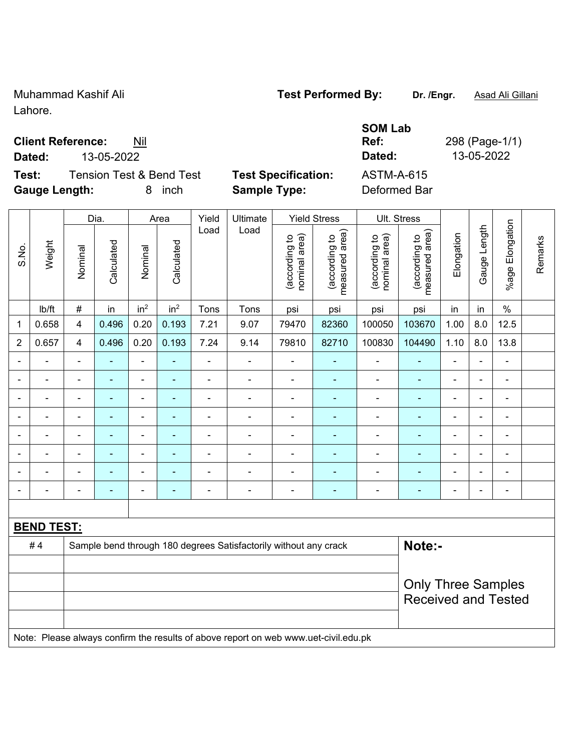Muhammad Kashif Ali **Test Performed By: Dr. /Engr.** Asad Ali Gillani Lahore.

## **Client Reference:** Nil

**Test:** Tension Test & Bend Test **Test Specification:** ASTM-A-615 **Gauge Length:** 8 inch **Sample Type:** Deformed Bar

| <b>Test Specificatio</b> |  |  |  |  |
|--------------------------|--|--|--|--|
|--------------------------|--|--|--|--|

Dia. | Area | Yield | Ultimate | Yield Stress | Ult. Stress

**Ref:** 298 (Page-1/1) **Dated:** 13-05-2022 **Dated:** 13-05-2022

**SOM Lab** 

|                          |                   | Dia.<br>Area<br>Yield<br>Ultimate<br>Yield Stress<br>UII. Stress |                |                 |                 |                |                                                                                     |                                |                                 |                                |                                 |                |                          |                 |         |
|--------------------------|-------------------|------------------------------------------------------------------|----------------|-----------------|-----------------|----------------|-------------------------------------------------------------------------------------|--------------------------------|---------------------------------|--------------------------------|---------------------------------|----------------|--------------------------|-----------------|---------|
| S.No.                    | Weight            | Nominal                                                          | Calculated     | Nominal         | Calculated      | Load           | Load                                                                                | nominal area)<br>(according to | measured area)<br>(according to | nominal area)<br>(according to | measured area)<br>(according to | Elongation     | Gauge Length             | %age Elongation | Remarks |
|                          | Ib/ft             | $\#$                                                             | in             | in <sup>2</sup> | in <sup>2</sup> | Tons           | Tons                                                                                | psi                            | psi                             | psi                            | psi                             | in             | in                       | $\%$            |         |
| $\mathbf 1$              | 0.658             | 4                                                                | 0.496          | 0.20            | 0.193           | 7.21           | 9.07                                                                                | 79470                          | 82360                           | 100050                         | 103670                          | 1.00           | 8.0                      | 12.5            |         |
| $\overline{c}$           | 0.657             | 4                                                                | 0.496          | 0.20            | 0.193           | 7.24           | 9.14                                                                                | 79810                          | 82710                           | 100830                         | 104490                          | 1.10           | 8.0                      | 13.8            |         |
| $\blacksquare$           |                   | $\blacksquare$                                                   |                | ä,              | ۰               | $\blacksquare$ | $\blacksquare$                                                                      | ä,                             | $\blacksquare$                  | $\blacksquare$                 |                                 | ä,             | L.                       |                 |         |
|                          |                   |                                                                  |                |                 | ۰               |                |                                                                                     |                                |                                 |                                |                                 |                | $\blacksquare$           |                 |         |
|                          |                   | ä,                                                               |                | $\blacksquare$  | ۰               | $\blacksquare$ | $\blacksquare$                                                                      | $\blacksquare$                 | $\overline{\phantom{a}}$        | $\blacksquare$                 | $\blacksquare$                  |                | $\blacksquare$           | $\blacksquare$  |         |
| $\overline{\phantom{a}}$ | ۰                 | ä,                                                               | $\blacksquare$ | ÷               | ۰               | $\blacksquare$ | Ē,                                                                                  | $\blacksquare$                 | ä,                              | $\blacksquare$                 |                                 | $\blacksquare$ | ä,                       | $\blacksquare$  |         |
| $\overline{\phantom{a}}$ | ۰                 |                                                                  | $\blacksquare$ | ÷               | ۰               |                | $\blacksquare$                                                                      | $\blacksquare$                 | ÷                               | $\blacksquare$                 |                                 |                | $\overline{\phantom{a}}$ | $\blacksquare$  |         |
| ÷                        | ۰                 | $\blacksquare$                                                   | $\blacksquare$ | $\blacksquare$  | ٠               | $\blacksquare$ | $\blacksquare$                                                                      | $\blacksquare$                 | $\blacksquare$                  | $\blacksquare$                 | $\blacksquare$                  | $\blacksquare$ | $\blacksquare$           | $\blacksquare$  |         |
|                          |                   |                                                                  |                |                 |                 |                |                                                                                     |                                |                                 |                                |                                 |                | $\blacksquare$           |                 |         |
|                          |                   |                                                                  |                |                 |                 |                |                                                                                     |                                |                                 |                                |                                 |                |                          |                 |         |
|                          |                   |                                                                  |                |                 |                 |                |                                                                                     |                                |                                 |                                |                                 |                |                          |                 |         |
|                          | <b>BEND TEST:</b> |                                                                  |                |                 |                 |                |                                                                                     |                                |                                 |                                |                                 |                |                          |                 |         |
|                          | #4                |                                                                  |                |                 |                 |                | Sample bend through 180 degrees Satisfactorily without any crack                    |                                |                                 |                                | Note:-                          |                |                          |                 |         |
|                          |                   |                                                                  |                |                 |                 |                |                                                                                     |                                |                                 |                                |                                 |                |                          |                 |         |
|                          |                   |                                                                  |                |                 |                 |                |                                                                                     |                                |                                 |                                | <b>Only Three Samples</b>       |                |                          |                 |         |
|                          |                   |                                                                  |                |                 |                 |                |                                                                                     |                                |                                 |                                | <b>Received and Tested</b>      |                |                          |                 |         |
|                          |                   |                                                                  |                |                 |                 |                |                                                                                     |                                |                                 |                                |                                 |                |                          |                 |         |
|                          |                   |                                                                  |                |                 |                 |                | Note: Please always confirm the results of above report on web www.uet-civil.edu.pk |                                |                                 |                                |                                 |                |                          |                 |         |
|                          |                   |                                                                  |                |                 |                 |                |                                                                                     |                                |                                 |                                |                                 |                |                          |                 |         |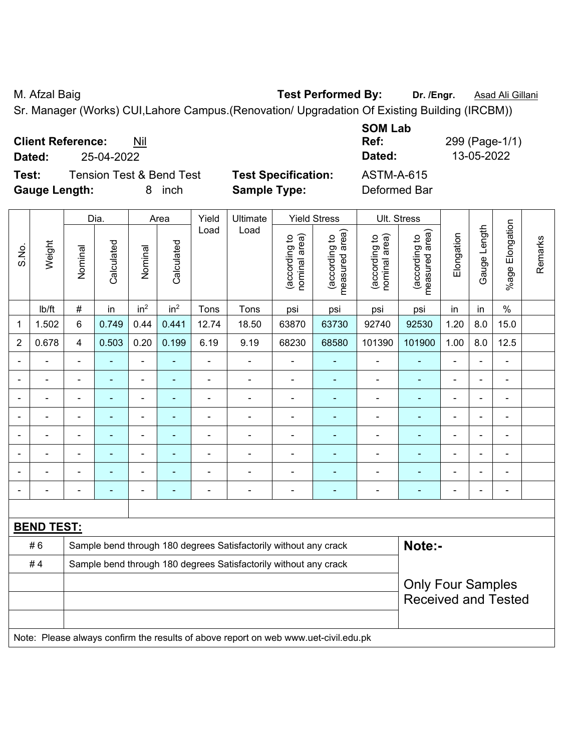M. Afzal Baig **Test Performed By:** Dr. /Engr. **Asad Ali Gillani** Associate Museum Contract Associate Museum Contract Associate Museum Contract Associate Museum Contract Associate Museum Contract Associate Museum Contract A

Sr. Manager (Works) CUI,Lahore Campus.(Renovation/ Upgradation Of Existing Building (IRCBM))

**Client Reference:** Nil

**Dated:** 25-04-2022 **Dated:** 13-05-2022

**Test:** Tension Test & Bend Test **Test Specification:** ASTM-A-615 **Gauge Length:** 8 inch **Sample Type:** Deformed Bar

**SOM Lab Ref:** 299 (Page-1/1)

|                |                   |                | Dia.           |                              | Area            | Yield          | Ultimate                                                                            |                                | Ult. Stress                     |                                |                                 |                |                |                          |         |
|----------------|-------------------|----------------|----------------|------------------------------|-----------------|----------------|-------------------------------------------------------------------------------------|--------------------------------|---------------------------------|--------------------------------|---------------------------------|----------------|----------------|--------------------------|---------|
| S.No.          | Weight            | Nominal        | Calculated     | Nominal                      | Calculated      | Load           | Load                                                                                | (according to<br>nominal area) | (according to<br>measured area) | (according to<br>nominal area) | (according to<br>measured area) | Elongation     | Gauge Length   | Elongation<br>$%$ age    | Remarks |
|                | Ib/ft             | $\#$           | in             | in <sup>2</sup>              | in <sup>2</sup> | Tons           | Tons                                                                                | psi                            | psi                             | psi                            | psi                             | in             | in             | $\%$                     |         |
| $\mathbf 1$    | 1.502             | $6\phantom{1}$ | 0.749          | 0.44                         | 0.441           | 12.74          | 18.50                                                                               | 63870                          | 63730                           | 92740                          | 92530                           | 1.20           | 8.0            | 15.0                     |         |
| $\overline{2}$ | 0.678             | $\overline{4}$ | 0.503          | 0.20                         | 0.199           | 6.19           | 9.19                                                                                | 68230                          | 68580                           | 101390                         | 101900                          | 1.00           | 8.0            | 12.5                     |         |
|                |                   |                |                | ä,                           |                 |                |                                                                                     |                                |                                 |                                |                                 |                |                | $\blacksquare$           |         |
|                |                   | $\blacksquare$ | $\blacksquare$ | $\blacksquare$               | $\blacksquare$  | ä,             | $\blacksquare$                                                                      | $\blacksquare$                 | $\blacksquare$                  | $\overline{a}$                 | $\blacksquare$                  | $\blacksquare$ | $\blacksquare$ | $\blacksquare$           |         |
|                |                   | $\blacksquare$ | ٠              | $\qquad \qquad \blacksquare$ | $\blacksquare$  | $\overline{a}$ | $\blacksquare$                                                                      | $\overline{a}$                 | $\blacksquare$                  | $\blacksquare$                 | ٠                               | $\blacksquare$ |                | $\overline{\phantom{a}}$ |         |
|                |                   |                | ٠              | ÷                            | $\blacksquare$  | $\blacksquare$ |                                                                                     | $\blacksquare$                 | $\overline{\phantom{a}}$        | $\blacksquare$                 | $\blacksquare$                  |                |                | $\blacksquare$           |         |
|                |                   |                |                | ÷                            | ä,              |                |                                                                                     |                                |                                 | $\blacksquare$                 | $\blacksquare$                  | L,             |                | $\blacksquare$           |         |
|                |                   |                |                |                              |                 |                |                                                                                     |                                |                                 |                                |                                 |                |                |                          |         |
|                |                   |                | ۰              | $\overline{\phantom{0}}$     |                 |                | $\blacksquare$                                                                      | $\blacksquare$                 |                                 | $\blacksquare$                 | ٠                               |                |                | $\blacksquare$           |         |
|                |                   |                |                | ÷                            | ÷               |                | $\blacksquare$                                                                      | $\blacksquare$                 | $\blacksquare$                  | $\blacksquare$                 | ٠                               | $\blacksquare$ |                | $\overline{\phantom{a}}$ |         |
|                |                   |                |                |                              |                 |                |                                                                                     |                                |                                 |                                |                                 |                |                |                          |         |
|                | <b>BEND TEST:</b> |                |                |                              |                 |                |                                                                                     |                                |                                 |                                |                                 |                |                |                          |         |
|                | #6                |                |                |                              |                 |                | Sample bend through 180 degrees Satisfactorily without any crack                    |                                |                                 |                                | Note:-                          |                |                |                          |         |
|                | #4                |                |                |                              |                 |                | Sample bend through 180 degrees Satisfactorily without any crack                    |                                |                                 |                                |                                 |                |                |                          |         |
|                |                   |                |                |                              |                 |                |                                                                                     |                                |                                 |                                | <b>Only Four Samples</b>        |                |                |                          |         |
|                |                   |                |                |                              |                 |                |                                                                                     |                                |                                 |                                | <b>Received and Tested</b>      |                |                |                          |         |
|                |                   |                |                |                              |                 |                |                                                                                     |                                |                                 |                                |                                 |                |                |                          |         |
|                |                   |                |                |                              |                 |                | Note: Please always confirm the results of above report on web www.uet-civil.edu.pk |                                |                                 |                                |                                 |                |                |                          |         |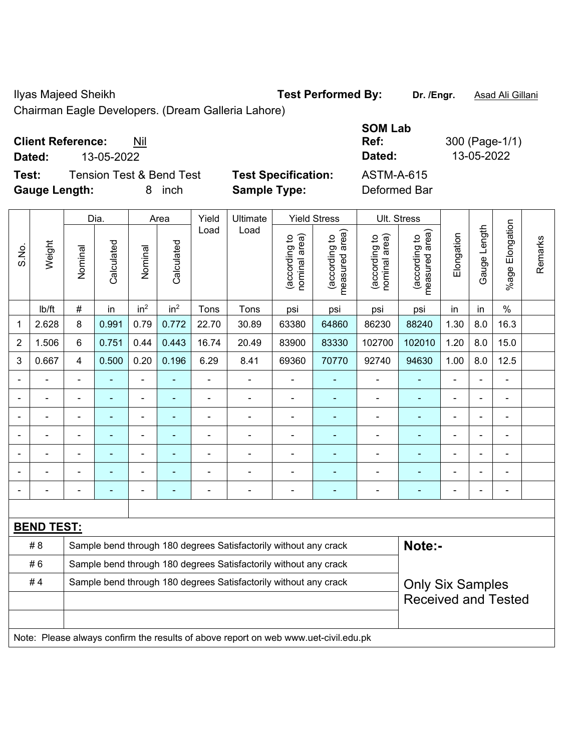Ilyas Majeed Sheikh **Test Performed By: Dr. /Engr.** Asad Ali Gillani

Chairman Eagle Developers. (Dream Galleria Lahore)

## **Client Reference:** Nil

**Test:** Tension Test & Bend Test **Test Specification:** ASTM-A-615 **Gauge Length:** 8 inch **Sample Type:** Deformed Bar

**SOM Lab Ref:** 300 (Page-1/1) **Dated:** 13-05-2022 **Dated:** 13-05-2022

|                |                   |                | Dia.                                                                                        |                          | Area            | Yield          | Ultimate                                                                            | <b>Yield Stress</b>            | Ult. Stress                     |                                |                                             |                |                |                       |         |
|----------------|-------------------|----------------|---------------------------------------------------------------------------------------------|--------------------------|-----------------|----------------|-------------------------------------------------------------------------------------|--------------------------------|---------------------------------|--------------------------------|---------------------------------------------|----------------|----------------|-----------------------|---------|
| S.No.          | Weight            | Nominal        | Calculated                                                                                  | Nominal                  | Calculated      | Load           | Load                                                                                | nominal area)<br>(according to | (according to<br>measured area) | (according to<br>nominal area) | (according to<br>neasured area)<br>measured | Elongation     | Gauge Length   | Elongation<br>$%$ age | Remarks |
|                | lb/ft             | $\#$           | in                                                                                          | in <sup>2</sup>          | in <sup>2</sup> | Tons           | Tons                                                                                | psi                            | psi                             | psi                            | psi                                         | in             | in             | $\%$                  |         |
| 1              | 2.628             | 8              | 0.991                                                                                       | 0.79                     | 0.772           | 22.70          | 30.89                                                                               | 63380                          | 64860                           | 86230                          | 88240                                       | 1.30           | 8.0            | 16.3                  |         |
| $\overline{2}$ | 1.506             | 6              | 0.751                                                                                       | 0.44                     | 0.443           | 16.74          | 20.49                                                                               | 83900                          | 83330                           | 102700                         | 102010                                      | 1.20           | 8.0            | 15.0                  |         |
| 3              | 0.667             | 4              | 0.500                                                                                       | 0.20                     | 0.196           | 6.29           | 8.41                                                                                | 69360                          | 70770                           | 92740                          | 94630                                       | 1.00           | 8.0            | 12.5                  |         |
|                | $\blacksquare$    | $\blacksquare$ | $\blacksquare$                                                                              | $\blacksquare$           | ٠               | $\blacksquare$ | ÷,                                                                                  | $\blacksquare$                 | $\blacksquare$                  | $\blacksquare$                 | $\blacksquare$                              | $\blacksquare$ | $\blacksquare$ | ä,                    |         |
|                | $\blacksquare$    | ä,             | $\blacksquare$                                                                              | $\blacksquare$           | ٠               | $\blacksquare$ | $\blacksquare$                                                                      | $\blacksquare$                 | ÷                               | $\blacksquare$                 | $\blacksquare$                              | ä,             |                | $\blacksquare$        |         |
|                | $\blacksquare$    | $\blacksquare$ | $\blacksquare$                                                                              | $\overline{\phantom{a}}$ | ۰               | $\blacksquare$ | $\blacksquare$                                                                      | $\blacksquare$                 | ٠                               | $\blacksquare$                 | ÷                                           | $\blacksquare$ |                | $\blacksquare$        |         |
|                |                   |                |                                                                                             |                          |                 |                | $\blacksquare$                                                                      | $\blacksquare$                 | $\blacksquare$                  | $\blacksquare$                 | $\blacksquare$                              | $\blacksquare$ |                | $\blacksquare$        |         |
|                |                   |                |                                                                                             | $\blacksquare$           |                 |                |                                                                                     | $\blacksquare$                 |                                 |                                |                                             |                |                | $\blacksquare$        |         |
|                |                   |                |                                                                                             | $\blacksquare$           |                 |                | $\blacksquare$                                                                      | $\blacksquare$                 |                                 | $\blacksquare$                 | ۰                                           | $\blacksquare$ | $\blacksquare$ | $\blacksquare$        |         |
|                |                   | $\blacksquare$ |                                                                                             | $\blacksquare$           |                 | $\blacksquare$ | $\blacksquare$                                                                      | $\blacksquare$                 | ٠                               | $\blacksquare$                 | ÷                                           | $\blacksquare$ |                | $\blacksquare$        |         |
|                |                   |                |                                                                                             |                          |                 |                |                                                                                     |                                |                                 |                                |                                             |                |                |                       |         |
|                | <b>BEND TEST:</b> |                |                                                                                             |                          |                 |                |                                                                                     |                                |                                 |                                |                                             |                |                |                       |         |
|                | #8                |                |                                                                                             |                          |                 |                | Sample bend through 180 degrees Satisfactorily without any crack                    |                                |                                 |                                | Note:-                                      |                |                |                       |         |
|                | #6                |                |                                                                                             |                          |                 |                | Sample bend through 180 degrees Satisfactorily without any crack                    |                                |                                 |                                |                                             |                |                |                       |         |
|                | #4                |                | Sample bend through 180 degrees Satisfactorily without any crack<br><b>Only Six Samples</b> |                          |                 |                |                                                                                     |                                |                                 |                                |                                             |                |                |                       |         |
|                |                   |                |                                                                                             |                          |                 |                |                                                                                     |                                |                                 |                                | <b>Received and Tested</b>                  |                |                |                       |         |
|                |                   |                |                                                                                             |                          |                 |                |                                                                                     |                                |                                 |                                |                                             |                |                |                       |         |
|                |                   |                |                                                                                             |                          |                 |                | Note: Please always confirm the results of above report on web www.uet-civil.edu.pk |                                |                                 |                                |                                             |                |                |                       |         |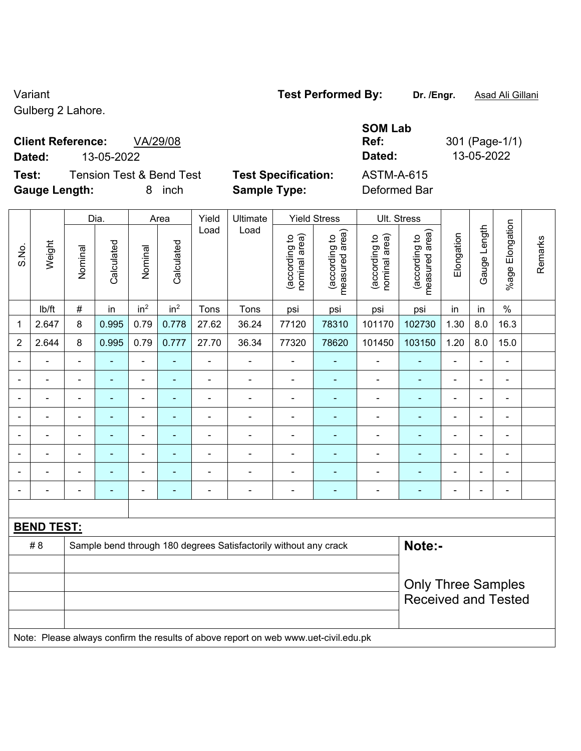## Variant **Test Performed By: Dr. /Engr.** Asad Ali Gillani

Gulberg 2 Lahore.

# **Client Reference:** VA/29/08

**Gauge Length:** 8 inch **Sample Type:** Deformed Bar

|                                              |                            | <b>SOM Lab</b>       |                |
|----------------------------------------------|----------------------------|----------------------|----------------|
| <b>Client Reference:</b><br>VA/29/08         |                            | Ref:                 | 301 (Page-1/1) |
| Dated:<br>13-05-2022                         |                            | Dated:               | 13-05-2022     |
| Test:<br><b>Tension Test &amp; Bend Test</b> | <b>Test Specification:</b> | ASTM-A-615           |                |
| Arrest Lessale                               | 0. <del>. .</del>          | D - f -  - - - 1 D - |                |

|                |                   |                | Dia.<br>Ult. Stress<br>Yield<br>Ultimate<br><b>Yield Stress</b><br>Area |                              |                 |                |                                                                                     |                                |                                 |                                |                                             |                          |                |                       |         |
|----------------|-------------------|----------------|-------------------------------------------------------------------------|------------------------------|-----------------|----------------|-------------------------------------------------------------------------------------|--------------------------------|---------------------------------|--------------------------------|---------------------------------------------|--------------------------|----------------|-----------------------|---------|
| S.No.          | Weight            | Nominal        | Calculated                                                              | Nominal                      | Calculated      | Load           | Load                                                                                | nominal area)<br>(according to | measured area)<br>(according to | (according to<br>nominal area) | (according to<br>neasured area)<br>measured | Elongation               | Gauge Length   | Elongation<br>$%$ age | Remarks |
|                | lb/ft             | $\#$           | in                                                                      | in <sup>2</sup>              | in <sup>2</sup> | Tons           | Tons                                                                                | psi                            | psi                             | psi                            | psi                                         | in                       | in             | $\%$                  |         |
| 1              | 2.647             | 8              | 0.995                                                                   | 0.79                         | 0.778           | 27.62          | 36.24                                                                               | 77120                          | 78310                           | 101170                         | 102730                                      | 1.30                     | 8.0            | 16.3                  |         |
| $\overline{2}$ | 2.644             | 8              | 0.995                                                                   | 0.79                         | 0.777           | 27.70          | 36.34                                                                               | 77320                          | 78620                           | 101450                         | 103150                                      | 1.20                     | 8.0            | 15.0                  |         |
|                |                   | $\blacksquare$ | $\blacksquare$                                                          | $\blacksquare$               | ۰               | $\blacksquare$ | -                                                                                   | $\blacksquare$                 | ÷                               | $\blacksquare$                 | $\blacksquare$                              | ä,                       | ÷              | $\overline{a}$        |         |
|                |                   |                | ÷,                                                                      | $\blacksquare$               |                 |                | ÷                                                                                   | ä,                             | ä,                              | $\blacksquare$                 | ä,                                          | ÷,                       |                |                       |         |
| $\blacksquare$ |                   |                |                                                                         | -                            |                 |                |                                                                                     |                                |                                 |                                |                                             | $\blacksquare$           |                | $\blacksquare$        |         |
| $\blacksquare$ |                   |                |                                                                         | ÷,                           |                 |                | ÷                                                                                   | $\overline{\phantom{a}}$       | $\blacksquare$                  | $\blacksquare$                 | ÷                                           | $\blacksquare$           | $\blacksquare$ | $\blacksquare$        |         |
| $\blacksquare$ |                   | $\blacksquare$ | Ē,                                                                      | $\blacksquare$               | ۰               | $\blacksquare$ | ä,                                                                                  | ÷,                             | ٠                               | $\blacksquare$                 | ÷                                           | $\blacksquare$           | $\blacksquare$ | $\blacksquare$        |         |
|                |                   | $\blacksquare$ | Ē.                                                                      | $\qquad \qquad \blacksquare$ |                 | $\blacksquare$ | ÷                                                                                   | $\blacksquare$                 | ÷                               | $\blacksquare$                 | ÷                                           | $\blacksquare$           | $\blacksquare$ | $\blacksquare$        |         |
|                |                   |                | ÷,                                                                      | ÷                            |                 | $\blacksquare$ | ÷                                                                                   | ä,                             | ۰                               | $\blacksquare$                 | ۰                                           | $\blacksquare$           | ÷              | $\blacksquare$        |         |
|                |                   |                |                                                                         | ۰                            |                 |                |                                                                                     |                                |                                 |                                | $\blacksquare$                              | $\overline{\phantom{0}}$ |                | $\blacksquare$        |         |
|                |                   |                |                                                                         |                              |                 |                |                                                                                     |                                |                                 |                                |                                             |                          |                |                       |         |
|                | <b>BEND TEST:</b> |                |                                                                         |                              |                 |                |                                                                                     |                                |                                 |                                |                                             |                          |                |                       |         |
|                | # 8               |                |                                                                         |                              |                 |                | Sample bend through 180 degrees Satisfactorily without any crack                    |                                |                                 |                                | Note:-                                      |                          |                |                       |         |
|                |                   |                |                                                                         |                              |                 |                |                                                                                     |                                |                                 |                                |                                             |                          |                |                       |         |
|                |                   |                |                                                                         |                              |                 |                |                                                                                     |                                |                                 |                                | <b>Only Three Samples</b>                   |                          |                |                       |         |
|                |                   |                |                                                                         |                              |                 |                |                                                                                     |                                |                                 |                                | <b>Received and Tested</b>                  |                          |                |                       |         |
|                |                   |                |                                                                         |                              |                 |                |                                                                                     |                                |                                 |                                |                                             |                          |                |                       |         |
|                |                   |                |                                                                         |                              |                 |                | Note: Please always confirm the results of above report on web www.uet-civil.edu.pk |                                |                                 |                                |                                             |                          |                |                       |         |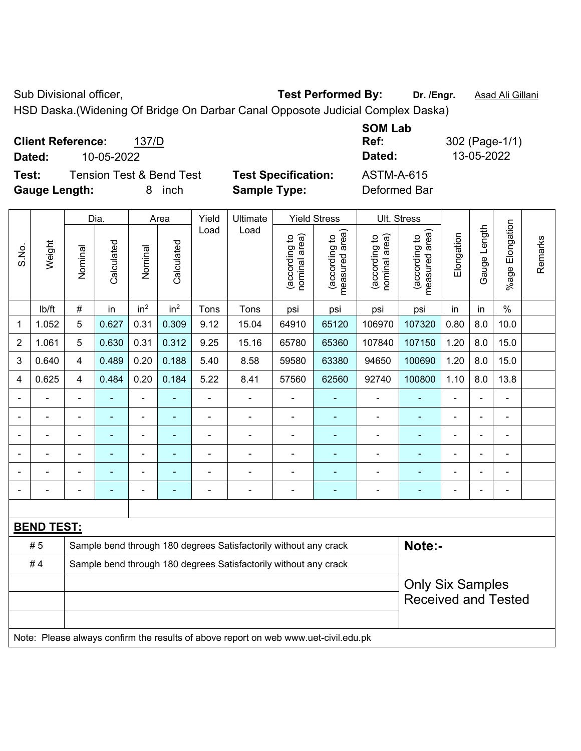Sub Divisional officer, **Test Performed By:** Dr. /Engr. **Asad Ali Gillani** Associated By: Dr. /Engr. **Asad Ali Gillani** 

HSD Daska.(Widening Of Bridge On Darbar Canal Opposote Judicial Complex Daska)

| <b>Client Reference:</b><br>137/D<br>10-05-2022<br>Dated:                         |                                                   | <b>SOM Lab</b><br>Ref:<br>Dated: | 302 (Page-1/1)<br>13-05-2022 |
|-----------------------------------------------------------------------------------|---------------------------------------------------|----------------------------------|------------------------------|
| <b>Tension Test &amp; Bend Test</b><br>Test:<br><b>Gauge Length:</b><br>inch<br>8 | <b>Test Specification:</b><br><b>Sample Type:</b> | ASTM-A-615<br>Deformed Bar       |                              |

|       |                   |                                                       | Dia.       | Yield<br>Ultimate<br><b>Yield Stress</b><br>Ult. Stress<br>Area |                 |                |                                                                                     |                                |                                 |                                |                                 |                |              |                 |         |
|-------|-------------------|-------------------------------------------------------|------------|-----------------------------------------------------------------|-----------------|----------------|-------------------------------------------------------------------------------------|--------------------------------|---------------------------------|--------------------------------|---------------------------------|----------------|--------------|-----------------|---------|
| S.No. | Weight            | Nominal                                               | Calculated | Nominal                                                         | Calculated      | Load           | Load                                                                                | nominal area)<br>(according to | (according to<br>measured area) | (according to<br>nominal area) | (according to<br>measured area) | Elongation     | Gauge Length | %age Elongation | Remarks |
|       | lb/ft             | $\#$                                                  | in         | in <sup>2</sup>                                                 | in <sup>2</sup> | Tons           | Tons                                                                                | psi                            | psi                             | psi                            | psi                             | in             | in           | $\frac{0}{0}$   |         |
| 1     | 1.052             | 5                                                     | 0.627      | 0.31                                                            | 0.309           | 9.12           | 15.04                                                                               | 64910                          | 65120                           | 106970                         | 107320                          | 0.80           | 8.0          | 10.0            |         |
| 2     | 1.061             | 5                                                     | 0.630      | 0.31                                                            | 0.312           | 9.25           | 15.16                                                                               | 65780                          | 65360                           | 107840                         | 107150                          | 1.20           | 8.0          | 15.0            |         |
| 3     | 0.640             | $\overline{\mathbf{4}}$                               | 0.489      | 0.20                                                            | 0.188           | 5.40           | 8.58                                                                                | 59580                          | 63380                           | 94650                          | 100690                          | 1.20           | 8.0          | 15.0            |         |
| 4     | 0.625             | $\overline{4}$                                        | 0.484      | 0.20                                                            | 0.184           | 5.22           | 8.41                                                                                | 57560                          | 62560                           | 92740                          | 100800                          | 1.10           | 8.0          | 13.8            |         |
|       |                   | $\blacksquare$                                        | ÷          | ÷,                                                              |                 | ä,             | $\blacksquare$                                                                      | ä,                             |                                 | $\blacksquare$                 | $\blacksquare$                  | ä,             |              | $\blacksquare$  |         |
|       |                   |                                                       |            | ÷                                                               |                 |                | ä,                                                                                  | L,                             |                                 |                                |                                 |                |              | $\blacksquare$  |         |
|       |                   |                                                       |            |                                                                 |                 |                | ÷                                                                                   | $\blacksquare$                 | ۰                               | $\blacksquare$                 |                                 |                |              |                 |         |
|       |                   |                                                       |            | ä,                                                              |                 | $\blacksquare$ | ÷                                                                                   | $\blacksquare$                 |                                 |                                |                                 |                |              | $\blacksquare$  |         |
|       |                   |                                                       |            |                                                                 |                 |                |                                                                                     | ä,                             | ۰                               |                                |                                 |                |              | $\blacksquare$  |         |
|       |                   | $\blacksquare$                                        | ۰          | $\overline{\phantom{a}}$                                        | ۰               | $\blacksquare$ | $\blacksquare$                                                                      | $\blacksquare$                 | ٠                               | $\blacksquare$                 | $\overline{\phantom{0}}$        | $\blacksquare$ |              | $\blacksquare$  |         |
|       |                   |                                                       |            |                                                                 |                 |                |                                                                                     |                                |                                 |                                |                                 |                |              |                 |         |
|       | <b>BEND TEST:</b> |                                                       |            |                                                                 |                 |                |                                                                                     |                                |                                 |                                |                                 |                |              |                 |         |
|       | #5                |                                                       |            |                                                                 |                 |                | Sample bend through 180 degrees Satisfactorily without any crack                    |                                |                                 |                                | Note:-                          |                |              |                 |         |
|       | #4                |                                                       |            |                                                                 |                 |                | Sample bend through 180 degrees Satisfactorily without any crack                    |                                |                                 |                                |                                 |                |              |                 |         |
|       |                   | <b>Only Six Samples</b><br><b>Received and Tested</b> |            |                                                                 |                 |                |                                                                                     |                                |                                 |                                |                                 |                |              |                 |         |
|       |                   |                                                       |            |                                                                 |                 |                | Note: Please always confirm the results of above report on web www.uet-civil.edu.pk |                                |                                 |                                |                                 |                |              |                 |         |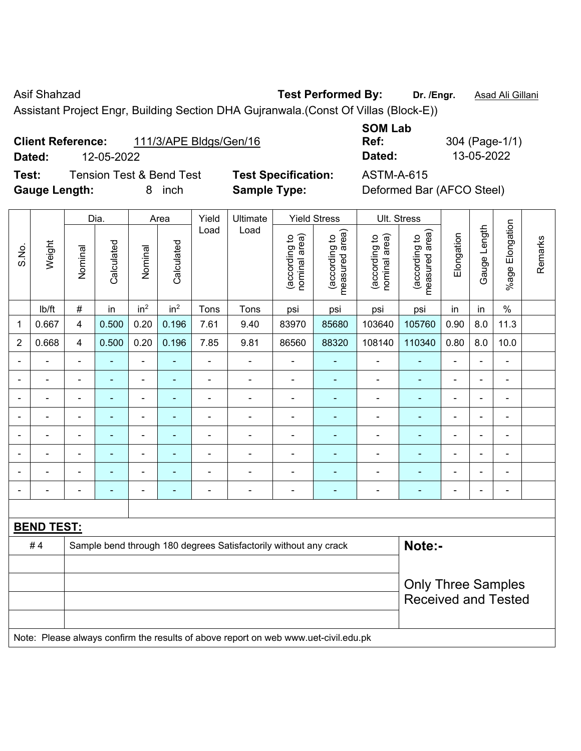Asif Shahzad **Test Performed By:** Dr. /Engr. **Asad Ali Gillani** 

Assistant Project Engr, Building Section DHA Gujranwala.(Const Of Villas (Block-E))

| <b>Client Reference:</b> | 111/3/APE Bldgs/Gen/16 |
|--------------------------|------------------------|
|--------------------------|------------------------|

**Test:** Tension Test & Bend Test **Test Specification:** ASTM-A-615 **Gauge Length:** 8 inch **Sample Type:** Deformed Bar (AFCO Steel)

**Ref:** 304 (Page-1/1) **Dated:** 12-05-2022 **Dated:** 13-05-2022

|                |                   |                | Dia.                       |                          | Area            | Yield          | Ult. Stress<br><b>Yield Stress</b>                                                  |                                |                                 |                                |                                 |                |                          |                              |         |
|----------------|-------------------|----------------|----------------------------|--------------------------|-----------------|----------------|-------------------------------------------------------------------------------------|--------------------------------|---------------------------------|--------------------------------|---------------------------------|----------------|--------------------------|------------------------------|---------|
| S.No.          | Weight            | Nominal        | Calculated                 | Nominal                  | Calculated      | Load           | Load                                                                                | (according to<br>nominal area) | (according to<br>measured area) | (according to<br>nominal area) | (according to<br>measured area) | Elongation     | Gauge Length             | %age Elongation              | Remarks |
|                | lb/ft             | $\#$           | in                         | in <sup>2</sup>          | in <sup>2</sup> | Tons           | Tons                                                                                | psi                            | psi                             | psi                            | psi                             | in             | in                       | $\frac{0}{0}$                |         |
| 1              | 0.667             | $\overline{4}$ | 0.500                      | 0.20                     | 0.196           | 7.61           | 9.40                                                                                | 83970                          | 85680                           | 103640                         | 105760                          | 0.90           | 8.0                      | 11.3                         |         |
| $\overline{2}$ | 0.668             | $\overline{4}$ | 0.500                      | 0.20                     | 0.196           | 7.85           | 9.81                                                                                | 86560                          | 88320                           | 108140                         | 110340                          | 0.80           | 8.0                      | 10.0                         |         |
|                |                   |                |                            | ÷                        |                 |                |                                                                                     |                                |                                 |                                | $\overline{\phantom{0}}$        |                |                          | $\blacksquare$               |         |
|                | $\blacksquare$    |                | ۰                          | ÷,                       | ۳               | $\blacksquare$ | ÷                                                                                   | ä,                             | ٠                               | $\overline{a}$                 | ۰                               | $\blacksquare$ | $\blacksquare$           | $\blacksquare$               |         |
|                | $\blacksquare$    | $\blacksquare$ | Ē.                         | ÷,                       | ٠               | $\blacksquare$ | $\blacksquare$                                                                      | ä,                             | ٠                               | $\blacksquare$                 | $\qquad \qquad \blacksquare$    | $\blacksquare$ | $\blacksquare$           | $\blacksquare$               |         |
|                | ÷                 | $\blacksquare$ |                            | $\overline{\phantom{0}}$ | ۳               | $\overline{a}$ | ÷                                                                                   | $\blacksquare$                 |                                 | $\blacksquare$                 | $\qquad \qquad \blacksquare$    | $\blacksquare$ | $\overline{\phantom{0}}$ | $\frac{1}{2}$                |         |
|                | $\blacksquare$    |                | $\blacksquare$             | ÷,                       | $\blacksquare$  | $\blacksquare$ | ä,                                                                                  | $\blacksquare$                 | $\blacksquare$                  | ä,                             | $\blacksquare$                  | $\overline{a}$ |                          | $\blacksquare$               |         |
|                |                   |                |                            | $\blacksquare$           | ۳               | $\blacksquare$ |                                                                                     | L,                             | ÷,                              | $\blacksquare$                 | ۰                               |                |                          | $\blacksquare$               |         |
|                |                   |                |                            | ÷                        |                 |                |                                                                                     |                                |                                 |                                |                                 |                |                          | $\blacksquare$               |         |
|                |                   | $\blacksquare$ | ۰                          | ÷,                       | $\blacksquare$  | $\blacksquare$ | ÷                                                                                   | $\blacksquare$                 | $\blacksquare$                  | $\blacksquare$                 | $\blacksquare$                  | $\blacksquare$ | $\blacksquare$           | $\qquad \qquad \blacksquare$ |         |
|                |                   |                |                            |                          |                 |                |                                                                                     |                                |                                 |                                |                                 |                |                          |                              |         |
|                | <b>BEND TEST:</b> |                |                            |                          |                 |                |                                                                                     |                                |                                 |                                |                                 |                |                          |                              |         |
|                | #4                |                |                            |                          |                 |                | Sample bend through 180 degrees Satisfactorily without any crack                    |                                |                                 |                                | Note:-                          |                |                          |                              |         |
|                |                   |                |                            |                          |                 |                |                                                                                     |                                |                                 |                                |                                 |                |                          |                              |         |
|                |                   |                |                            |                          |                 |                |                                                                                     |                                |                                 |                                | <b>Only Three Samples</b>       |                |                          |                              |         |
|                |                   |                | <b>Received and Tested</b> |                          |                 |                |                                                                                     |                                |                                 |                                |                                 |                |                          |                              |         |
|                |                   |                |                            |                          |                 |                | Note: Please always confirm the results of above report on web www.uet-civil.edu.pk |                                |                                 |                                |                                 |                |                          |                              |         |

**SOM Lab**